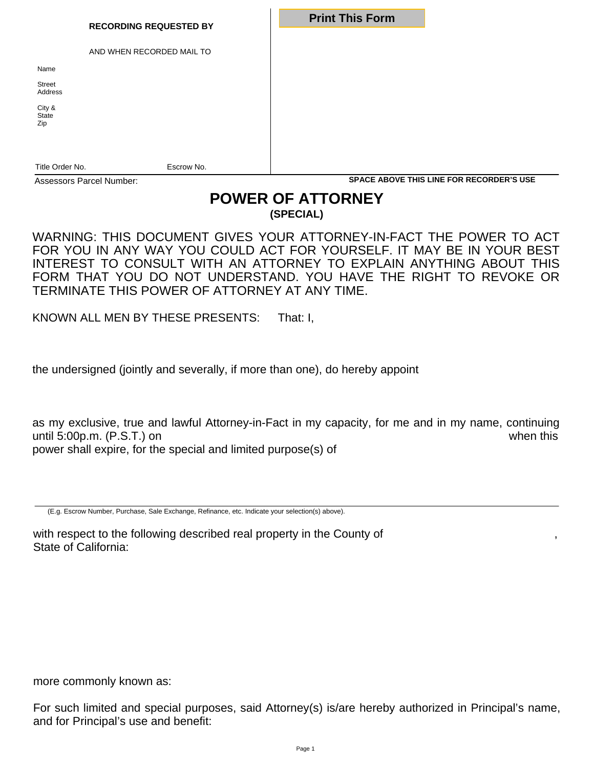| <b>RECORDING REQUESTED BY</b>                      | <b>Print This Form</b>                          |  |
|----------------------------------------------------|-------------------------------------------------|--|
| AND WHEN RECORDED MAIL TO<br>Name<br><b>Street</b> |                                                 |  |
| Address<br>City &<br>State<br>Zip                  |                                                 |  |
| Title Order No.<br>Escrow No.                      |                                                 |  |
| Assessors Parcel Number:                           | <b>SPACE ABOVE THIS LINE FOR RECORDER'S USE</b> |  |

## **POWER OF ATTORNEY (SPECIAL)**

WARNING: THIS DOCUMENT GIVES YOUR ATTORNEY-IN-FACT THE POWER TO ACT FOR YOU IN ANY WAY YOU COULD ACT FOR YOURSELF. IT MAY BE IN YOUR BEST INTEREST TO CONSULT WITH AN ATTORNEY TO EXPLAIN ANYTHING ABOUT THIS FORM THAT YOU DO NOT UNDERSTAND. YOU HAVE THE RIGHT TO REVOKE OR TERMINATE THIS POWER OF ATTORNEY AT ANY TIME.

KNOWN ALL MEN BY THESE PRESENTS: That: I,

the undersigned (jointly and severally, if more than one), do hereby appoint

as my exclusive, true and lawful Attorney-in-Fact in my capacity, for me and in my name, continuing until 5:00p.m. (P.S.T.) on when this power shall expire, for the special and limited purpose(s) of

(E.g. Escrow Number, Purchase, Sale Exchange, Refinance, etc. Indicate your selection(s) above).

with respect to the following described real property in the County of State of California:

more commonly known as:

For such limited and special purposes, said Attorney(s) is/are hereby authorized in Principal's name, and for Principal's use and benefit: